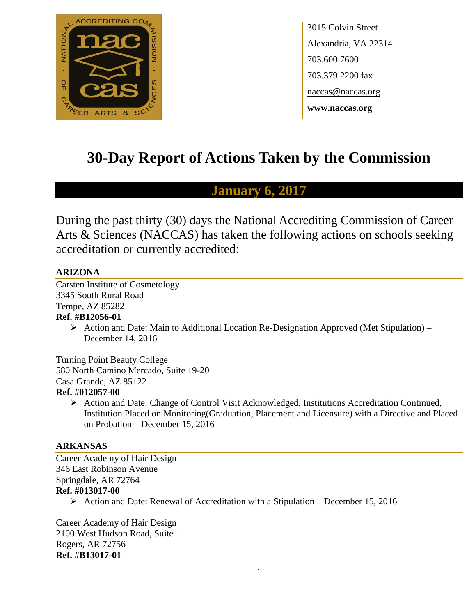

3015 Colvin Street Alexandria, VA 22314 703.600.7600 703.379.2200 fax naccas@naccas.org **www.naccas.org**

# **30-Day Report of Actions Taken by the Commission**

## **January 6, 2017**

During the past thirty (30) days the National Accrediting Commission of Career Arts & Sciences (NACCAS) has taken the following actions on schools seeking accreditation or currently accredited:

### **ARIZONA**

Carsten Institute of Cosmetology 3345 South Rural Road Tempe, AZ 85282 **Ref. #B12056-01**

> $\triangleright$  Action and Date: Main to Additional Location Re-Designation Approved (Met Stipulation) – December 14, 2016

Turning Point Beauty College 580 North Camino Mercado, Suite 19-20 Casa Grande, AZ 85122

### **Ref. #012057-00**

 $\triangleright$  Action and Date: Change of Control Visit Acknowledged, Institutions Accreditation Continued, Institution Placed on Monitoring(Graduation, Placement and Licensure) with a Directive and Placed on Probation – December 15, 2016

### **ARKANSAS**

Career Academy of Hair Design 346 East Robinson Avenue Springdale, AR 72764 **Ref. #013017-00**  $\triangleright$  Action and Date: Renewal of Accreditation with a Stipulation – December 15, 2016

Career Academy of Hair Design 2100 West Hudson Road, Suite 1 Rogers, AR 72756 **Ref. #B13017-01**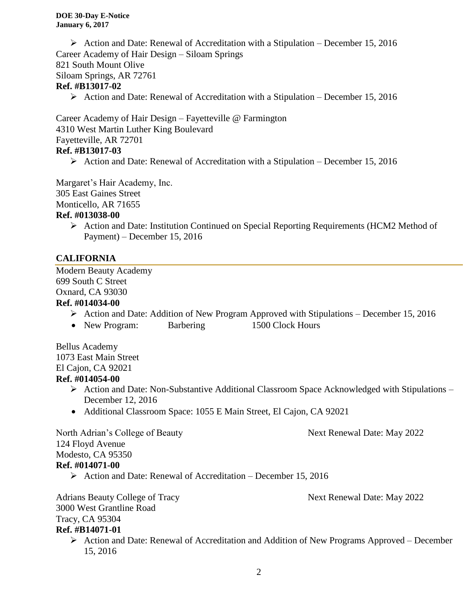Action and Date: Renewal of Accreditation with a Stipulation – December 15, 2016 Career Academy of Hair Design – Siloam Springs 821 South Mount Olive Siloam Springs, AR 72761 **Ref. #B13017-02**

 $\triangleright$  Action and Date: Renewal of Accreditation with a Stipulation – December 15, 2016

Career Academy of Hair Design – Fayetteville @ Farmington 4310 West Martin Luther King Boulevard Fayetteville, AR 72701 **Ref. #B13017-03**

 $\triangleright$  Action and Date: Renewal of Accreditation with a Stipulation – December 15, 2016

Margaret's Hair Academy, Inc.

305 East Gaines Street

Monticello, AR 71655

#### **Ref. #013038-00**

 Action and Date: Institution Continued on Special Reporting Requirements (HCM2 Method of Payment) – December 15, 2016

### **CALIFORNIA**

Modern Beauty Academy 699 South C Street Oxnard, CA 93030

### **Ref. #014034-00**

- $\triangleright$  Action and Date: Addition of New Program Approved with Stipulations December 15, 2016
- New Program: Barbering 1500 Clock Hours

Bellus Academy 1073 East Main Street El Cajon, CA 92021 **Ref. #014054-00**

- Action and Date: Non-Substantive Additional Classroom Space Acknowledged with Stipulations December 12, 2016
- Additional Classroom Space: 1055 E Main Street, El Cajon, CA 92021

North Adrian's College of Beauty Next Renewal Date: May 2022 124 Floyd Avenue Modesto, CA 95350 **Ref. #014071-00**  $\triangleright$  Action and Date: Renewal of Accreditation – December 15, 2016

| <b>Adrians Beauty College of Tracy</b> | Next Renewal Date: May 2022                                                                                 |
|----------------------------------------|-------------------------------------------------------------------------------------------------------------|
| 3000 West Grantline Road               |                                                                                                             |
| Tracy, CA 95304                        |                                                                                                             |
| <b>Ref. #B14071-01</b>                 |                                                                                                             |
|                                        | $\triangleright$ Action and Date: Renewal of Accreditation and Addition of New Programs Approved – December |

 Action and Date: Renewal of Accreditation and Addition of New Programs Approved – December 15, 2016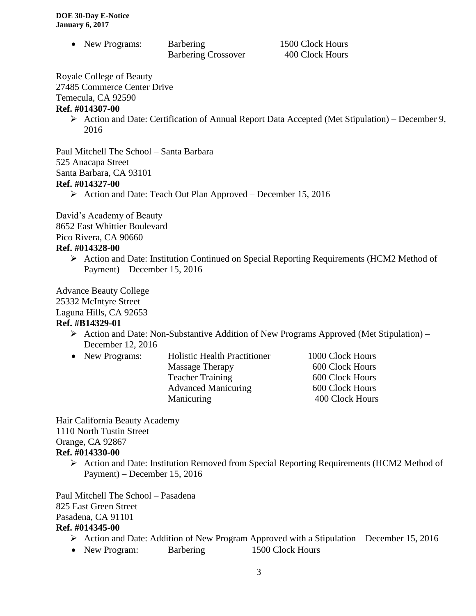• New Programs: Barbering 1500 Clock Hours

Barbering Crossover 400 Clock Hours

Royale College of Beauty

27485 Commerce Center Drive

Temecula, CA 92590

### **Ref. #014307-00**

 $\triangleright$  Action and Date: Certification of Annual Report Data Accepted (Met Stipulation) – December 9, 2016

Paul Mitchell The School – Santa Barbara 525 Anacapa Street Santa Barbara, CA 93101 **Ref. #014327-00**

 $\triangleright$  Action and Date: Teach Out Plan Approved – December 15, 2016

David's Academy of Beauty 8652 East Whittier Boulevard Pico Rivera, CA 90660

### **Ref. #014328-00**

 Action and Date: Institution Continued on Special Reporting Requirements (HCM2 Method of Payment) – December 15, 2016

Advance Beauty College 25332 McIntyre Street Laguna Hills, CA 92653 **Ref. #B14329-01**

- $\triangleright$  Action and Date: Non-Substantive Addition of New Programs Approved (Met Stipulation) December 12, 2016
- New Programs: Holistic Health Practitioner 1000 Clock Hours

Massage Therapy 600 Clock Hours Teacher Training 600 Clock Hours Advanced Manicuring 600 Clock Hours Manicuring 400 Clock Hours

Hair California Beauty Academy 1110 North Tustin Street Orange, CA 92867 **Ref. #014330-00**

 Action and Date: Institution Removed from Special Reporting Requirements (HCM2 Method of Payment) – December 15, 2016

Paul Mitchell The School – Pasadena 825 East Green Street Pasadena, CA 91101

### **Ref. #014345-00**

- $\triangleright$  Action and Date: Addition of New Program Approved with a Stipulation December 15, 2016
- New Program: Barbering 1500 Clock Hours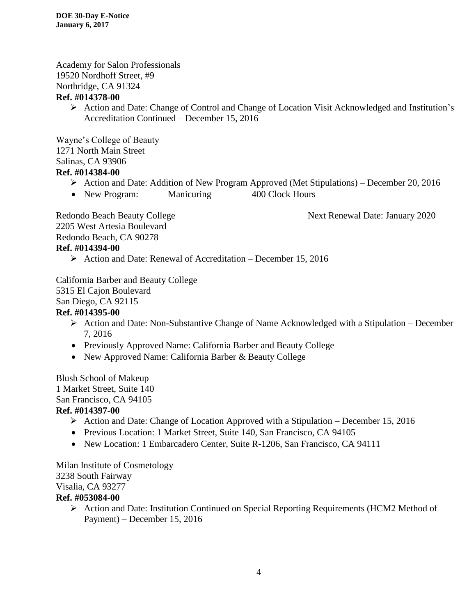Academy for Salon Professionals 19520 Nordhoff Street, #9 Northridge, CA 91324

### **Ref. #014378-00**

 Action and Date: Change of Control and Change of Location Visit Acknowledged and Institution's Accreditation Continued – December 15, 2016

Wayne's College of Beauty 1271 North Main Street Salinas, CA 93906

### **Ref. #014384-00**

- Action and Date: Addition of New Program Approved (Met Stipulations) December 20, 2016
- New Program: Manicuring 400 Clock Hours

Redondo Beach Beauty College Next Renewal Date: January 2020

2205 West Artesia Boulevard Redondo Beach, CA 90278 **Ref. #014394-00**

 $\triangleright$  Action and Date: Renewal of Accreditation – December 15, 2016

California Barber and Beauty College 5315 El Cajon Boulevard San Diego, CA 92115

### **Ref. #014395-00**

- $\triangleright$  Action and Date: Non-Substantive Change of Name Acknowledged with a Stipulation December 7, 2016
- Previously Approved Name: California Barber and Beauty College
- New Approved Name: California Barber & Beauty College

Blush School of Makeup 1 Market Street, Suite 140

## San Francisco, CA 94105

### **Ref. #014397-00**

- $\triangleright$  Action and Date: Change of Location Approved with a Stipulation December 15, 2016
- Previous Location: 1 Market Street, Suite 140, San Francisco, CA 94105
- New Location: 1 Embarcadero Center, Suite R-1206, San Francisco, CA 94111

Milan Institute of Cosmetology 3238 South Fairway Visalia, CA 93277

### **Ref. #053084-00**

 Action and Date: Institution Continued on Special Reporting Requirements (HCM2 Method of Payment) – December 15, 2016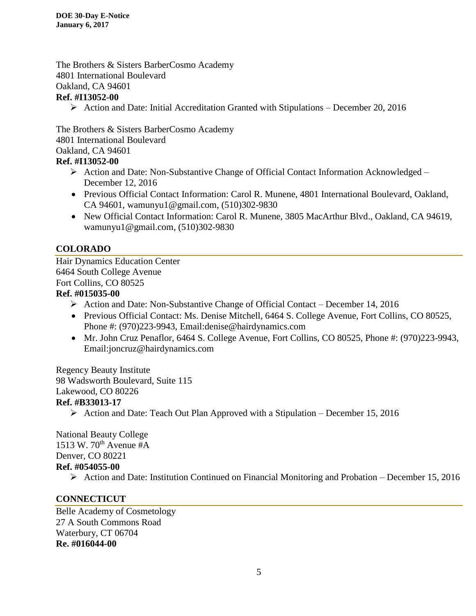The Brothers & Sisters BarberCosmo Academy 4801 International Boulevard Oakland, CA 94601

### **Ref. #I13052-00**

Action and Date: Initial Accreditation Granted with Stipulations – December 20, 2016

The Brothers & Sisters BarberCosmo Academy 4801 International Boulevard Oakland, CA 94601

### **Ref. #I13052-00**

- ▶ Action and Date: Non-Substantive Change of Official Contact Information Acknowledged December 12, 2016
- Previous Official Contact Information: Carol R. Munene, 4801 International Boulevard, Oakland, CA 94601, wamunyu1@gmail.com, (510)302-9830
- New Official Contact Information: Carol R. Munene, 3805 MacArthur Blvd., Oakland, CA 94619, wamunyu1@gmail.com, (510)302-9830

### **COLORADO**

Hair Dynamics Education Center 6464 South College Avenue Fort Collins, CO 80525

### **Ref. #015035-00**

- $\triangleright$  Action and Date: Non-Substantive Change of Official Contact December 14, 2016
- Previous Official Contact: Ms. Denise Mitchell, 6464 S. College Avenue, Fort Collins, CO 80525, Phone #: (970)223-9943, Email:denise@hairdynamics.com
- Mr. John Cruz Penaflor, 6464 S. College Avenue, Fort Collins, CO 80525, Phone #: (970)223-9943, Email:joncruz@hairdynamics.com

Regency Beauty Institute 98 Wadsworth Boulevard, Suite 115 Lakewood, CO 80226

- **Ref. #B33013-17**
	- $\triangleright$  Action and Date: Teach Out Plan Approved with a Stipulation December 15, 2016

National Beauty College 1513 W.  $70^{th}$  Avenue #A Denver, CO 80221 **Ref. #054055-00**

 $\triangleright$  Action and Date: Institution Continued on Financial Monitoring and Probation – December 15, 2016

### **CONNECTICUT**

Belle Academy of Cosmetology 27 A South Commons Road Waterbury, CT 06704 **Re. #016044-00**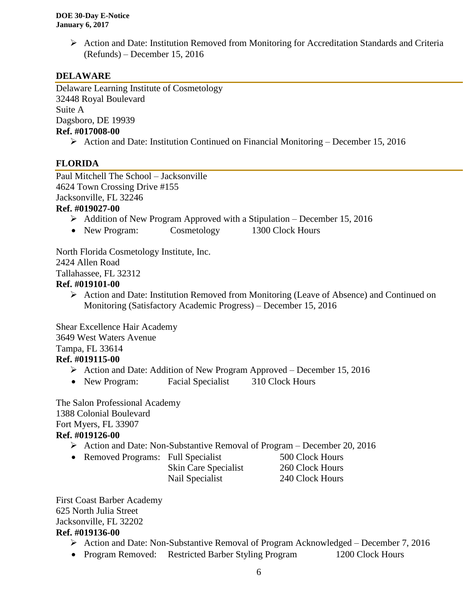$\triangleright$  Action and Date: Institution Removed from Monitoring for Accreditation Standards and Criteria (Refunds) – December 15, 2016

### **DELAWARE**

Delaware Learning Institute of Cosmetology 32448 Royal Boulevard Suite A Dagsboro, DE 19939 **Ref. #017008-00**

Action and Date: Institution Continued on Financial Monitoring – December 15, 2016

### **FLORIDA**

Paul Mitchell The School – Jacksonville 4624 Town Crossing Drive #155 Jacksonville, FL 32246

#### **Ref. #019027-00**

- $\triangleright$  Addition of New Program Approved with a Stipulation December 15, 2016
- New Program: Cosmetology 1300 Clock Hours

North Florida Cosmetology Institute, Inc. 2424 Allen Road Tallahassee, FL 32312

#### **Ref. #019101-00**

 Action and Date: Institution Removed from Monitoring (Leave of Absence) and Continued on Monitoring (Satisfactory Academic Progress) – December 15, 2016

Shear Excellence Hair Academy 3649 West Waters Avenue Tampa, FL 33614 **Ref. #019115-00**

- Action and Date: Addition of New Program Approved December 15, 2016
- New Program: Facial Specialist 310 Clock Hours

The Salon Professional Academy 1388 Colonial Boulevard Fort Myers, FL 33907 **Ref. #019126-00**

Action and Date: Non-Substantive Removal of Program – December 20, 2016

• Removed Programs: Full Specialist 500 Clock Hours

Skin Care Specialist 260 Clock Hours Nail Specialist 240 Clock Hours

First Coast Barber Academy 625 North Julia Street Jacksonville, FL 32202

### **Ref. #019136-00**

- $\triangleright$  Action and Date: Non-Substantive Removal of Program Acknowledged December 7, 2016
- Program Removed: Restricted Barber Styling Program 1200 Clock Hours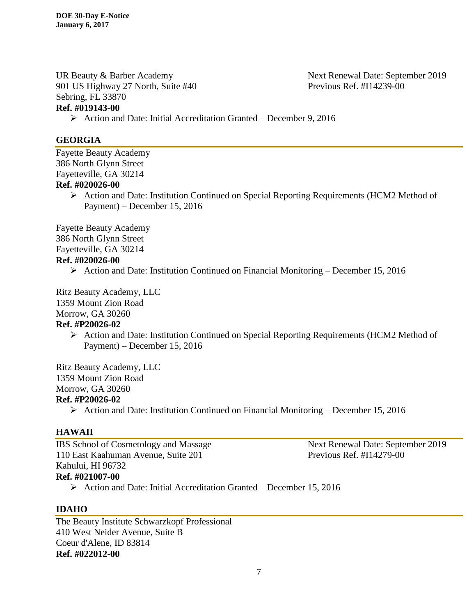UR Beauty & Barber Academy Next Renewal Date: September 2019 901 US Highway 27 North, Suite #40 Previous Ref. #I14239-00 Sebring, FL 33870 **Ref. #019143-00**

#### **GEORGIA**

Fayette Beauty Academy 386 North Glynn Street Fayetteville, GA 30214 **Ref. #020026-00**

> Action and Date: Institution Continued on Special Reporting Requirements (HCM2 Method of Payment) – December 15, 2016

Fayette Beauty Academy 386 North Glynn Street Fayetteville, GA 30214 **Ref. #020026-00**

 $\triangleright$  Action and Date: Institution Continued on Financial Monitoring – December 15, 2016

Action and Date: Initial Accreditation Granted – December 9, 2016

Ritz Beauty Academy, LLC

1359 Mount Zion Road

Morrow, GA 30260

#### **Ref. #P20026-02**

 Action and Date: Institution Continued on Special Reporting Requirements (HCM2 Method of Payment) – December 15, 2016

Ritz Beauty Academy, LLC 1359 Mount Zion Road Morrow, GA 30260 **Ref. #P20026-02**

 $\triangleright$  Action and Date: Institution Continued on Financial Monitoring – December 15, 2016

### **HAWAII**

IBS School of Cosmetology and Massage Next Renewal Date: September 2019 110 East Kaahuman Avenue, Suite 201 Previous Ref. #I14279-00 Kahului, HI 96732 **Ref. #021007-00**

 $\triangleright$  Action and Date: Initial Accreditation Granted – December 15, 2016

### **IDAHO**

The Beauty Institute Schwarzkopf Professional 410 West Neider Avenue, Suite B Coeur d'Alene, ID 83814 **Ref. #022012-00**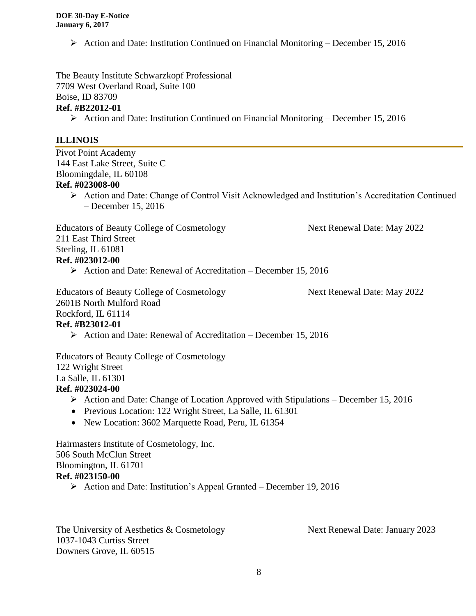Action and Date: Institution Continued on Financial Monitoring – December 15, 2016

The Beauty Institute Schwarzkopf Professional 7709 West Overland Road, Suite 100 Boise, ID 83709 **Ref. #B22012-01**

Action and Date: Institution Continued on Financial Monitoring – December 15, 2016

#### **ILLINOIS**

Pivot Point Academy 144 East Lake Street, Suite C Bloomingdale, IL 60108 **Ref. #023008-00**

> Action and Date: Change of Control Visit Acknowledged and Institution's Accreditation Continued – December 15, 2016

Educators of Beauty College of Cosmetology Next Renewal Date: May 2022 211 East Third Street Sterling, IL 61081 **Ref. #023012-00**

 $\triangleright$  Action and Date: Renewal of Accreditation – December 15, 2016

Educators of Beauty College of Cosmetology Next Renewal Date: May 2022 2601B North Mulford Road

Rockford, IL 61114

#### **Ref. #B23012-01**

 $\triangleright$  Action and Date: Renewal of Accreditation – December 15, 2016

Educators of Beauty College of Cosmetology 122 Wright Street La Salle, IL 61301

### **Ref. #023024-00**

- $\triangleright$  Action and Date: Change of Location Approved with Stipulations December 15, 2016
- Previous Location: 122 Wright Street, La Salle, IL 61301
- New Location: 3602 Marquette Road, Peru, IL 61354

Hairmasters Institute of Cosmetology, Inc. 506 South McClun Street Bloomington, IL 61701 **Ref. #023150-00**

Action and Date: Institution's Appeal Granted – December 19, 2016

The University of Aesthetics & Cosmetology Next Renewal Date: January 2023 1037-1043 Curtiss Street Downers Grove, IL 60515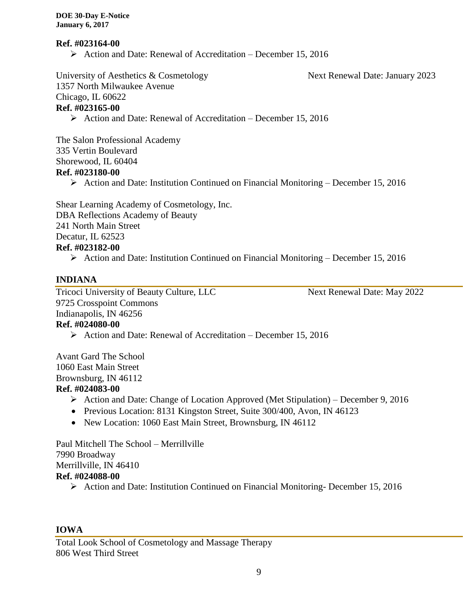#### **Ref. #023164-00**

 $\triangleright$  Action and Date: Renewal of Accreditation – December 15, 2016

University of Aesthetics & Cosmetology Next Renewal Date: January 2023 1357 North Milwaukee Avenue Chicago, IL 60622 **Ref. #023165-00**

 $\triangleright$  Action and Date: Renewal of Accreditation – December 15, 2016

The Salon Professional Academy 335 Vertin Boulevard Shorewood, IL 60404

#### **Ref. #023180-00**

 $\triangleright$  Action and Date: Institution Continued on Financial Monitoring – December 15, 2016

Shear Learning Academy of Cosmetology, Inc. DBA Reflections Academy of Beauty 241 North Main Street Decatur, IL 62523 **Ref. #023182-00**

Action and Date: Institution Continued on Financial Monitoring – December 15, 2016

### **INDIANA**

Tricoci University of Beauty Culture, LLC<br>Next Renewal Date: May 2022 9725 Crosspoint Commons Indianapolis, IN 46256

#### **Ref. #024080-00**

 $\triangleright$  Action and Date: Renewal of Accreditation – December 15, 2016

Avant Gard The School 1060 East Main Street Brownsburg, IN 46112

#### **Ref. #024083-00**

- $\triangleright$  Action and Date: Change of Location Approved (Met Stipulation) December 9, 2016
- Previous Location: 8131 Kingston Street, Suite 300/400, Avon, IN 46123
- New Location: 1060 East Main Street, Brownsburg, IN 46112

Paul Mitchell The School – Merrillville 7990 Broadway Merrillville, IN 46410 **Ref. #024088-00** Action and Date: Institution Continued on Financial Monitoring- December 15, 2016

#### **IOWA**

Total Look School of Cosmetology and Massage Therapy 806 West Third Street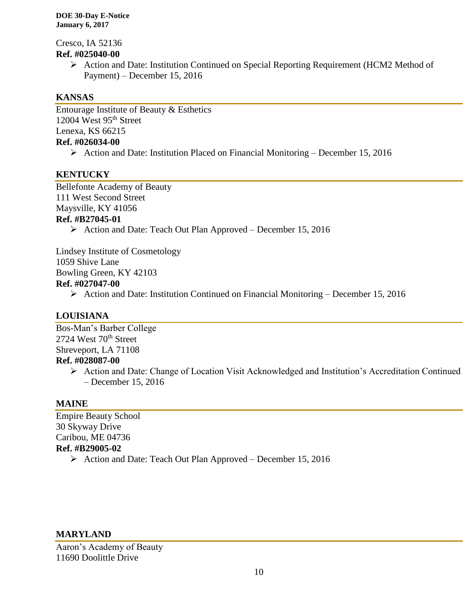Cresco, IA 52136 **Ref. #025040-00**

 Action and Date: Institution Continued on Special Reporting Requirement (HCM2 Method of Payment) – December 15, 2016

### **KANSAS**

Entourage Institute of Beauty & Esthetics 12004 West 95<sup>th</sup> Street Lenexa, KS 66215 **Ref. #026034-00**

 $\triangleright$  Action and Date: Institution Placed on Financial Monitoring – December 15, 2016

### **KENTUCKY**

Bellefonte Academy of Beauty 111 West Second Street Maysville, KY 41056 **Ref. #B27045-01**

 $\triangleright$  Action and Date: Teach Out Plan Approved – December 15, 2016

Lindsey Institute of Cosmetology 1059 Shive Lane Bowling Green, KY 42103 **Ref. #027047-00**

 $\triangleright$  Action and Date: Institution Continued on Financial Monitoring – December 15, 2016

### **LOUISIANA**

Bos-Man's Barber College 2724 West 70<sup>th</sup> Street Shreveport, LA 71108 **Ref. #028087-00**

 Action and Date: Change of Location Visit Acknowledged and Institution's Accreditation Continued – December 15, 2016

### **MAINE**

Empire Beauty School 30 Skyway Drive Caribou, ME 04736 **Ref. #B29005-02**

 $\triangleright$  Action and Date: Teach Out Plan Approved – December 15, 2016

#### **MARYLAND**

Aaron's Academy of Beauty 11690 Doolittle Drive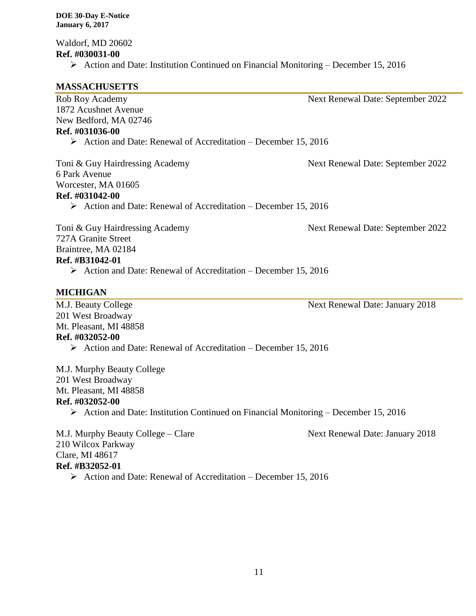Waldorf, MD 20602 **Ref. #030031-00**

 $\triangleright$  Action and Date: Institution Continued on Financial Monitoring – December 15, 2016

#### **MASSACHUSETTS**

Rob Roy Academy Next Renewal Date: September 2022

1872 Acushnet Avenue New Bedford, MA 02746 **Ref. #031036-00**

 $\triangleright$  Action and Date: Renewal of Accreditation – December 15, 2016

Toni & Guy Hairdressing Academy Next Renewal Date: September 2022 6 Park Avenue Worcester, MA 01605 **Ref. #031042-00**

 $\triangleright$  Action and Date: Renewal of Accreditation – December 15, 2016

Toni & Guy Hairdressing Academy Next Renewal Date: September 2022 727A Granite Street Braintree, MA 02184 **Ref. #B31042-01**  $\triangleright$  Action and Date: Renewal of Accreditation – December 15, 2016

### **MICHIGAN**

M.J. Beauty College Next Renewal Date: January 2018 201 West Broadway Mt. Pleasant, MI 48858 **Ref. #032052-00**   $\triangleright$  Action and Date: Renewal of Accreditation – December 15, 2016

M.J. Murphy Beauty College 201 West Broadway Mt. Pleasant, MI 48858 **Ref. #032052-00**  $\triangleright$  Action and Date: Institution Continued on Financial Monitoring – December 15, 2016

M.J. Murphy Beauty College – Clare Next Renewal Date: January 2018 210 Wilcox Parkway Clare, MI 48617 **Ref. #B32052-01**  $\triangleright$  Action and Date: Renewal of Accreditation – December 15, 2016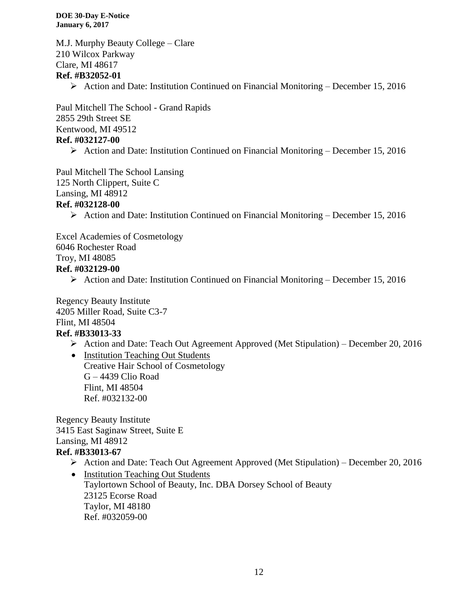M.J. Murphy Beauty College – Clare 210 Wilcox Parkway Clare, MI 48617 **Ref. #B32052-01**

 $\triangleright$  Action and Date: Institution Continued on Financial Monitoring – December 15, 2016

Paul Mitchell The School - Grand Rapids 2855 29th Street SE Kentwood, MI 49512 **Ref. #032127-00**

Action and Date: Institution Continued on Financial Monitoring – December 15, 2016

Paul Mitchell The School Lansing 125 North Clippert, Suite C Lansing, MI 48912

#### **Ref. #032128-00**

 $\triangleright$  Action and Date: Institution Continued on Financial Monitoring – December 15, 2016

Excel Academies of Cosmetology

6046 Rochester Road

Troy, MI 48085

#### **Ref. #032129-00**

 $\triangleright$  Action and Date: Institution Continued on Financial Monitoring – December 15, 2016

Regency Beauty Institute 4205 Miller Road, Suite C3-7 Flint, MI 48504

### **Ref. #B33013-33**

Action and Date: Teach Out Agreement Approved (Met Stipulation) – December 20, 2016

• Institution Teaching Out Students Creative Hair School of Cosmetology G – 4439 Clio Road Flint, MI 48504 Ref. #032132-00

Regency Beauty Institute 3415 East Saginaw Street, Suite E Lansing, MI 48912 **Ref. #B33013-67**

#### Action and Date: Teach Out Agreement Approved (Met Stipulation) – December 20, 2016

• Institution Teaching Out Students Taylortown School of Beauty, Inc. DBA Dorsey School of Beauty 23125 Ecorse Road Taylor, MI 48180 Ref. #032059-00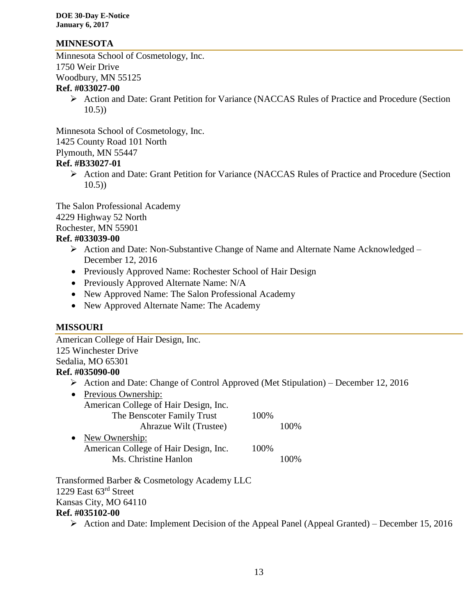### **MINNESOTA**

Minnesota School of Cosmetology, Inc. 1750 Weir Drive Woodbury, MN 55125

### **Ref. #033027-00**

 Action and Date: Grant Petition for Variance (NACCAS Rules of Practice and Procedure (Section  $10.5)$ 

Minnesota School of Cosmetology, Inc. 1425 County Road 101 North

Plymouth, MN 55447

**Ref. #B33027-01**

 Action and Date: Grant Petition for Variance (NACCAS Rules of Practice and Procedure (Section 10.5))

The Salon Professional Academy 4229 Highway 52 North Rochester, MN 55901

#### **Ref. #033039-00**

- ▶ Action and Date: Non-Substantive Change of Name and Alternate Name Acknowledged December 12, 2016
- Previously Approved Name: Rochester School of Hair Design
- Previously Approved Alternate Name: N/A
- New Approved Name: The Salon Professional Academy
- New Approved Alternate Name: The Academy

### **MISSOURI**

| American College of Hair Design, Inc. |                                                                                   |
|---------------------------------------|-----------------------------------------------------------------------------------|
| 125 Winchester Drive                  |                                                                                   |
| Sedalia, MO 65301                     |                                                                                   |
| Ref. #035090-00                       |                                                                                   |
| ➤                                     | Action and Date: Change of Control Approved (Met Stipulation) – December 12, 2016 |
| Previous Ownership:<br>$\bullet$      |                                                                                   |
| American College of Hair Design, Inc. |                                                                                   |
| The Benscoter Family Trust            | 100%                                                                              |
| Ahrazue Wilt (Trustee)                | 100%                                                                              |
| New Ownership:<br>$\bullet$           |                                                                                   |
| American College of Hair Design, Inc. | 100%                                                                              |
| Ms. Christine Hanlon                  | 100%                                                                              |

Transformed Barber & Cosmetology Academy LLC 1229 East 63rd Street Kansas City, MO 64110

#### **Ref. #035102-00**

 $\triangleright$  Action and Date: Implement Decision of the Appeal Panel (Appeal Granted) – December 15, 2016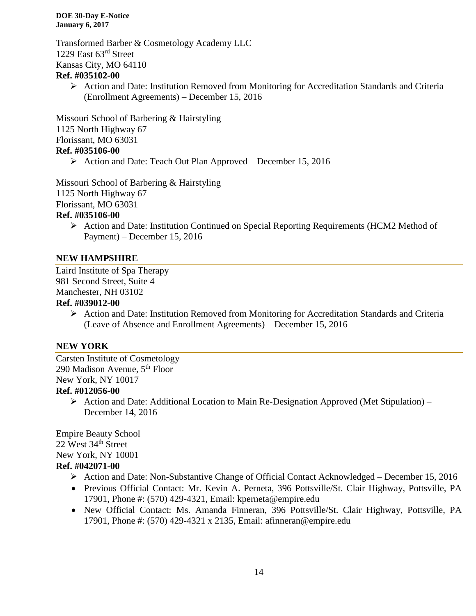Transformed Barber & Cosmetology Academy LLC 1229 East 63rd Street Kansas City, MO 64110

### **Ref. #035102-00**

 $\triangleright$  Action and Date: Institution Removed from Monitoring for Accreditation Standards and Criteria (Enrollment Agreements) – December 15, 2016

Missouri School of Barbering & Hairstyling 1125 North Highway 67 Florissant, MO 63031 **Ref. #035106-00**

 $\triangleright$  Action and Date: Teach Out Plan Approved – December 15, 2016

Missouri School of Barbering & Hairstyling

1125 North Highway 67

Florissant, MO 63031

### **Ref. #035106-00**

 $\triangleright$  Action and Date: Institution Continued on Special Reporting Requirements (HCM2 Method of Payment) – December 15, 2016

### **NEW HAMPSHIRE**

Laird Institute of Spa Therapy 981 Second Street, Suite 4 Manchester, NH 03102

### **Ref. #039012-00**

 Action and Date: Institution Removed from Monitoring for Accreditation Standards and Criteria (Leave of Absence and Enrollment Agreements) – December 15, 2016

### **NEW YORK**

Carsten Institute of Cosmetology 290 Madison Avenue, 5th Floor New York, NY 10017

### **Ref. #012056-00**

 $\triangleright$  Action and Date: Additional Location to Main Re-Designation Approved (Met Stipulation) – December 14, 2016

Empire Beauty School 22 West 34<sup>th</sup> Street New York, NY 10001 **Ref. #042071-00**

- Action and Date: Non-Substantive Change of Official Contact Acknowledged December 15, 2016
- Previous Official Contact: Mr. Kevin A. Perneta, 396 Pottsville/St. Clair Highway, Pottsville, PA 17901, Phone #: (570) 429-4321, Email: kperneta@empire.edu
- New Official Contact: Ms. Amanda Finneran, 396 Pottsville/St. Clair Highway, Pottsville, PA 17901, Phone #: (570) 429-4321 x 2135, Email: afinneran@empire.edu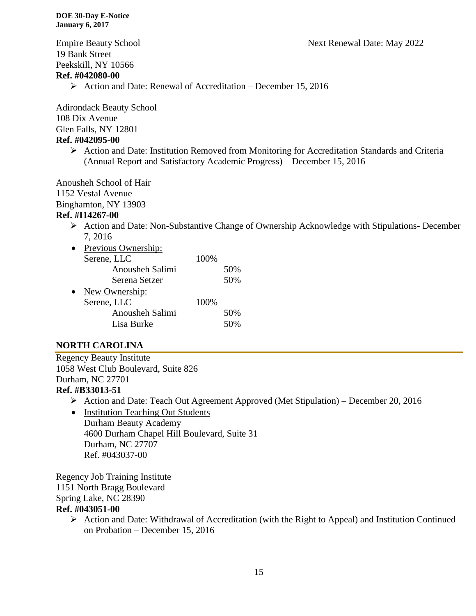Empire Beauty School Next Renewal Date: May 2022 19 Bank Street Peekskill, NY 10566 **Ref. #042080-00**

 $\triangleright$  Action and Date: Renewal of Accreditation – December 15, 2016

Adirondack Beauty School 108 Dix Avenue Glen Falls, NY 12801 **Ref. #042095-00**

> Action and Date: Institution Removed from Monitoring for Accreditation Standards and Criteria (Annual Report and Satisfactory Academic Progress) – December 15, 2016

Anousheh School of Hair 1152 Vestal Avenue Binghamton, NY 13903

### **Ref. #I14267-00**

 Action and Date: Non-Substantive Change of Ownership Acknowledge with Stipulations- December 7, 2016

| Previous Ownership: |      |     |
|---------------------|------|-----|
| Serene, LLC         | 100% |     |
| Anousheh Salimi     |      | 50% |
| Serena Setzer       |      | 50% |
| New Ownership:      |      |     |
| Serene, LLC         | 100% |     |
| Anousheh Salimi     |      | 50% |
| Lisa Burke          |      |     |

### **NORTH CAROLINA**

Regency Beauty Institute 1058 West Club Boulevard, Suite 826 Durham, NC 27701

### **Ref. #B33013-51**

- Action and Date: Teach Out Agreement Approved (Met Stipulation) December 20, 2016
- Institution Teaching Out Students Durham Beauty Academy 4600 Durham Chapel Hill Boulevard, Suite 31 Durham, NC 27707 Ref. #043037-00

Regency Job Training Institute 1151 North Bragg Boulevard Spring Lake, NC 28390 **Ref. #043051-00**

> $\triangleright$  Action and Date: Withdrawal of Accreditation (with the Right to Appeal) and Institution Continued on Probation – December 15, 2016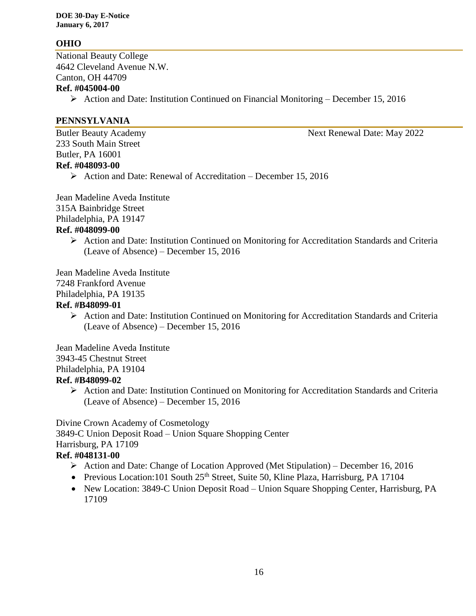### **OHIO**

National Beauty College 4642 Cleveland Avenue N.W. Canton, OH 44709

#### **Ref. #045004-00**

Action and Date: Institution Continued on Financial Monitoring – December 15, 2016

#### **PENNSYLVANIA**

233 South Main Street Butler, PA 16001 **Ref. #048093-00**

 $\triangleright$  Action and Date: Renewal of Accreditation – December 15, 2016

Jean Madeline Aveda Institute 315A Bainbridge Street Philadelphia, PA 19147 **Ref. #048099-00**

> $\triangleright$  Action and Date: Institution Continued on Monitoring for Accreditation Standards and Criteria (Leave of Absence) – December 15, 2016

Jean Madeline Aveda Institute 7248 Frankford Avenue Philadelphia, PA 19135

### **Ref. #B48099-01**

 Action and Date: Institution Continued on Monitoring for Accreditation Standards and Criteria (Leave of Absence) – December 15, 2016

Jean Madeline Aveda Institute 3943-45 Chestnut Street Philadelphia, PA 19104

### **Ref. #B48099-02**

 $\triangleright$  Action and Date: Institution Continued on Monitoring for Accreditation Standards and Criteria (Leave of Absence) – December 15, 2016

Divine Crown Academy of Cosmetology 3849-C Union Deposit Road – Union Square Shopping Center Harrisburg, PA 17109

### **Ref. #048131-00**

- $\triangleright$  Action and Date: Change of Location Approved (Met Stipulation) December 16, 2016
- Previous Location:101 South 25<sup>th</sup> Street, Suite 50, Kline Plaza, Harrisburg, PA 17104
- New Location: 3849-C Union Deposit Road Union Square Shopping Center, Harrisburg, PA 17109

Butler Beauty Academy **Next Renewal Date: May 2022**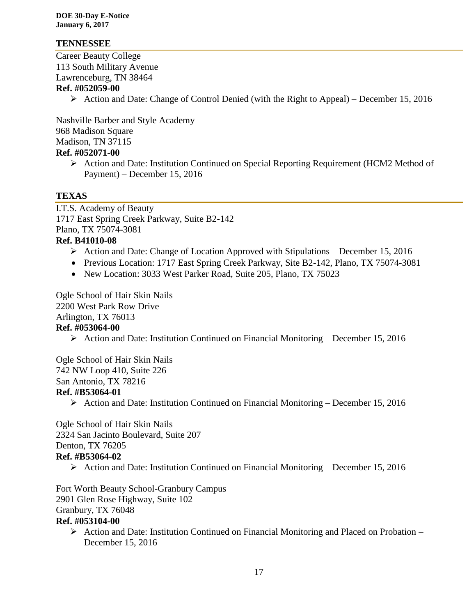#### **TENNESSEE**

Career Beauty College 113 South Military Avenue Lawrenceburg, TN 38464

#### **Ref. #052059-00**

 $\triangleright$  Action and Date: Change of Control Denied (with the Right to Appeal) – December 15, 2016

Nashville Barber and Style Academy 968 Madison Square Madison, TN 37115 **Ref. #052071-00**

 Action and Date: Institution Continued on Special Reporting Requirement (HCM2 Method of Payment) – December 15, 2016

### **TEXAS**

I.T.S. Academy of Beauty 1717 East Spring Creek Parkway, Suite B2-142 Plano, TX 75074-3081

### **Ref. B41010-08**

- $\triangleright$  Action and Date: Change of Location Approved with Stipulations December 15, 2016
- Previous Location: 1717 East Spring Creek Parkway, Site B2-142, Plano, TX 75074-3081
- New Location: 3033 West Parker Road, Suite 205, Plano, TX 75023

Ogle School of Hair Skin Nails 2200 West Park Row Drive Arlington, TX 76013 **Ref. #053064-00**

Action and Date: Institution Continued on Financial Monitoring – December 15, 2016

Ogle School of Hair Skin Nails 742 NW Loop 410, Suite 226 San Antonio, TX 78216 **Ref. #B53064-01**

Action and Date: Institution Continued on Financial Monitoring – December 15, 2016

Ogle School of Hair Skin Nails 2324 San Jacinto Boulevard, Suite 207 Denton, TX 76205

#### **Ref. #B53064-02**

 $\triangleright$  Action and Date: Institution Continued on Financial Monitoring – December 15, 2016

Fort Worth Beauty School-Granbury Campus 2901 Glen Rose Highway, Suite 102 Granbury, TX 76048

#### **Ref. #053104-00**

 $\triangleright$  Action and Date: Institution Continued on Financial Monitoring and Placed on Probation – December 15, 2016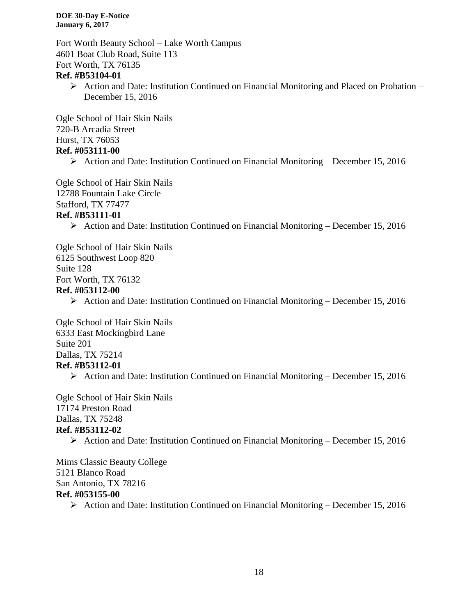Fort Worth Beauty School – Lake Worth Campus 4601 Boat Club Road, Suite 113 Fort Worth, TX 76135

#### **Ref. #B53104-01**

 $\triangleright$  Action and Date: Institution Continued on Financial Monitoring and Placed on Probation – December 15, 2016

Ogle School of Hair Skin Nails 720-B Arcadia Street Hurst, TX 76053 **Ref. #053111-00**

 $\triangleright$  Action and Date: Institution Continued on Financial Monitoring – December 15, 2016

Ogle School of Hair Skin Nails 12788 Fountain Lake Circle

#### Stafford, TX 77477 **Ref. #B53111-01**

Action and Date: Institution Continued on Financial Monitoring – December 15, 2016

Ogle School of Hair Skin Nails 6125 Southwest Loop 820 Suite 128 Fort Worth, TX 76132 **Ref. #053112-00**

 $\triangleright$  Action and Date: Institution Continued on Financial Monitoring – December 15, 2016

Ogle School of Hair Skin Nails 6333 East Mockingbird Lane Suite 201 Dallas, TX 75214 **Ref. #B53112-01**

 $\triangleright$  Action and Date: Institution Continued on Financial Monitoring – December 15, 2016

Ogle School of Hair Skin Nails 17174 Preston Road Dallas, TX 75248 **Ref. #B53112-02**

Action and Date: Institution Continued on Financial Monitoring – December 15, 2016

Mims Classic Beauty College 5121 Blanco Road San Antonio, TX 78216 **Ref. #053155-00**

 $\triangleright$  Action and Date: Institution Continued on Financial Monitoring – December 15, 2016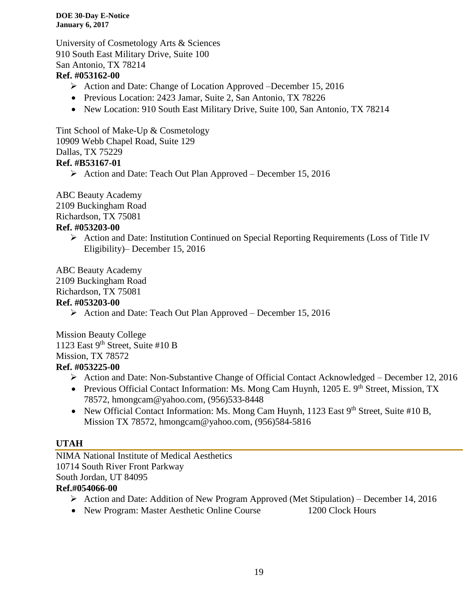University of Cosmetology Arts & Sciences 910 South East Military Drive, Suite 100 San Antonio, TX 78214

### **Ref. #053162-00**

- Action and Date: Change of Location Approved –December 15, 2016
- Previous Location: 2423 Jamar, Suite 2, San Antonio, TX 78226
- New Location: 910 South East Military Drive, Suite 100, San Antonio, TX 78214

Tint School of Make-Up & Cosmetology 10909 Webb Chapel Road, Suite 129 Dallas, TX 75229 **Ref. #B53167-01**

 $\triangleright$  Action and Date: Teach Out Plan Approved – December 15, 2016

ABC Beauty Academy 2109 Buckingham Road Richardson, TX 75081 **Ref. #053203-00**

> $\triangleright$  Action and Date: Institution Continued on Special Reporting Requirements (Loss of Title IV Eligibility)– December 15, 2016

ABC Beauty Academy 2109 Buckingham Road Richardson, TX 75081

### **Ref. #053203-00**

Action and Date: Teach Out Plan Approved – December 15, 2016

Mission Beauty College 1123 East 9<sup>th</sup> Street, Suite #10 B Mission, TX 78572 **Ref. #053225-00**

- Action and Date: Non-Substantive Change of Official Contact Acknowledged December 12, 2016
- Previous Official Contact Information: Ms. Mong Cam Huynh, 1205 E. 9<sup>th</sup> Street, Mission, TX 78572, hmongcam@yahoo.com, (956)533-8448
- New Official Contact Information: Ms. Mong Cam Huynh, 1123 East 9<sup>th</sup> Street, Suite #10 B, Mission TX 78572, hmongcam@yahoo.com, (956)584-5816

### **UTAH**

NIMA National Institute of Medical Aesthetics 10714 South River Front Parkway South Jordan, UT 84095 **Ref.#054066-00**

- Action and Date: Addition of New Program Approved (Met Stipulation) December 14, 2016
- New Program: Master Aesthetic Online Course 1200 Clock Hours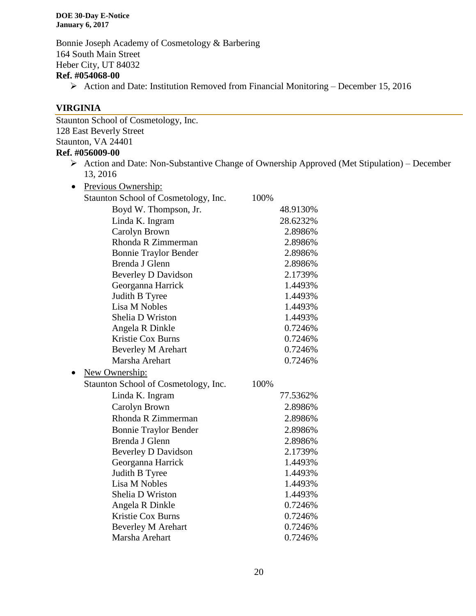Bonnie Joseph Academy of Cosmetology & Barbering 164 South Main Street Heber City, UT 84032

### **Ref. #054068-00**

 $\triangleright$  Action and Date: Institution Removed from Financial Monitoring – December 15, 2016

#### **VIRGINIA**

Staunton School of Cosmetology, Inc. 128 East Beverly Street Staunton, VA 24401

### **Ref. #056009-00**

 $\triangleright$  Action and Date: Non-Substantive Change of Ownership Approved (Met Stipulation) – December 13, 2016

| Previous Ownership:                            |          |
|------------------------------------------------|----------|
| Staunton School of Cosmetology, Inc.           | 100%     |
| Boyd W. Thompson, Jr.                          | 48.9130% |
| Linda K. Ingram                                | 28.6232% |
| Carolyn Brown                                  | 2.8986%  |
| Rhonda R Zimmerman                             | 2.8986%  |
| <b>Bonnie Traylor Bender</b>                   | 2.8986%  |
| Brenda J Glenn                                 | 2.8986%  |
| <b>Beverley D Davidson</b>                     | 2.1739%  |
| Georganna Harrick                              | 1.4493%  |
| Judith B Tyree                                 | 1.4493%  |
| Lisa M Nobles                                  | 1.4493%  |
| Shelia D Wriston                               | 1.4493%  |
| Angela R Dinkle                                | 0.7246%  |
| Kristie Cox Burns                              | 0.7246%  |
| <b>Beverley M Arehart</b>                      | 0.7246%  |
| Marsha Arehart                                 | 0.7246%  |
| New Ownership:                                 |          |
|                                                |          |
| Staunton School of Cosmetology, Inc.           | 100%     |
| Linda K. Ingram                                | 77.5362% |
| Carolyn Brown                                  | 2.8986%  |
| Rhonda R Zimmerman                             | 2.8986%  |
|                                                | 2.8986%  |
| <b>Bonnie Traylor Bender</b><br>Brenda J Glenn | 2.8986%  |
|                                                | 2.1739%  |
| <b>Beverley D Davidson</b>                     | 1.4493%  |
| Georganna Harrick<br>Judith B Tyree            | 1.4493%  |
| Lisa M Nobles                                  | 1.4493%  |
| Shelia D Wriston                               | 1.4493%  |
| Angela R Dinkle                                | 0.7246%  |
| <b>Kristie Cox Burns</b>                       | 0.7246%  |
| <b>Beverley M Arehart</b>                      | 0.7246%  |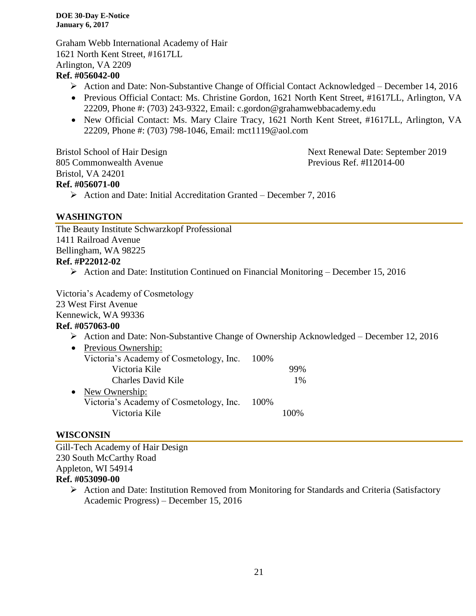Graham Webb International Academy of Hair 1621 North Kent Street, #1617LL Arlington, VA 2209

### **Ref. #056042-00**

- Action and Date: Non-Substantive Change of Official Contact Acknowledged December 14, 2016
- Previous Official Contact: Ms. Christine Gordon, 1621 North Kent Street, #1617LL, Arlington, VA 22209, Phone #: (703) 243-9322, Email: c.gordon@grahamwebbacademy.edu
- New Official Contact: Ms. Mary Claire Tracy, 1621 North Kent Street, #1617LL, Arlington, VA 22209, Phone #: (703) 798-1046, Email: mct1119@aol.com

805 Commonwealth Avenue Previous Ref. #I12014-00 Bristol, VA 24201 **Ref. #056071-00**

Bristol School of Hair Design Next Renewal Date: September 2019

 $\triangleright$  Action and Date: Initial Accreditation Granted – December 7, 2016

### **WASHINGTON**

The Beauty Institute Schwarzkopf Professional 1411 Railroad Avenue Bellingham, WA 98225 **Ref. #P22012-02**

Action and Date: Institution Continued on Financial Monitoring – December 15, 2016

Victoria's Academy of Cosmetology

23 West First Avenue

Kennewick, WA 99336

### **Ref. #057063-00**

- Action and Date: Non-Substantive Change of Ownership Acknowledged December 12, 2016
- Previous Ownership: Victoria's Academy of Cosmetology, Inc. 100% Victoria Kile 99% Charles David Kile 1% • New Ownership: Victoria's Academy of Cosmetology, Inc. 100% Victoria Kile 100%

### **WISCONSIN**

Gill-Tech Academy of Hair Design 230 South McCarthy Road Appleton, WI 54914

### **Ref. #053090-00**

 Action and Date: Institution Removed from Monitoring for Standards and Criteria (Satisfactory Academic Progress) – December 15, 2016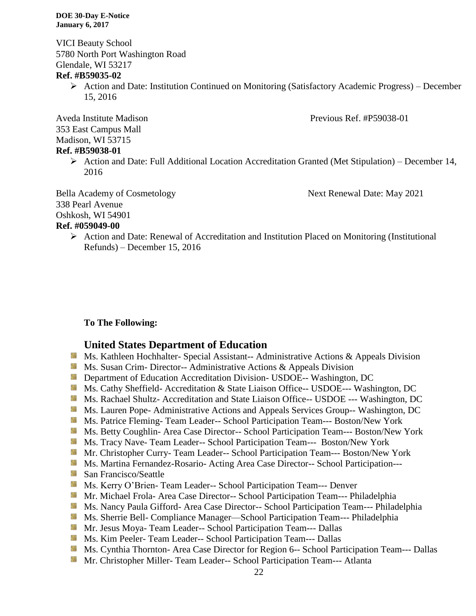VICI Beauty School 5780 North Port Washington Road Glendale, WI 53217

#### **Ref. #B59035-02**

 Action and Date: Institution Continued on Monitoring (Satisfactory Academic Progress) – December 15, 2016

Aveda Institute Madison **Previous Ref.** #P59038-01 353 East Campus Mall Madison, WI 53715

#### **Ref. #B59038-01**

 $\triangleright$  Action and Date: Full Additional Location Accreditation Granted (Met Stipulation) – December 14, 2016

Bella Academy of Cosmetology Next Renewal Date: May 2021 338 Pearl Avenue Oshkosh, WI 54901

### **Ref. #059049-00**

 $\triangleright$  Action and Date: Renewal of Accreditation and Institution Placed on Monitoring (Institutional Refunds) – December 15, 2016

#### **To The Following:**

#### **United States Department of Education**

- **Ms. Kathleen Hochhalter- Special Assistant-- Administrative Actions & Appeals Division**
- **MS.** Susan Crim-Director-- Administrative Actions & Appeals Division
- **Department of Education Accreditation Division- USDOE-- Washington, DC**
- Ms. Cathy Sheffield- Accreditation & State Liaison Office-- USDOE--- Washington, DC
- Ms. Rachael Shultz- Accreditation and State Liaison Office-- USDOE --- Washington, DC
- Ms. Lauren Pope- Administrative Actions and Appeals Services Group-- Washington, DC
- **Ms. Patrice Fleming- Team Leader-- School Participation Team--- Boston/New York**
- Ms. Betty Coughlin- Area Case Director-- School Participation Team--- Boston/New York
- Ms. Tracy Nave- Team Leader-- School Participation Team--- Boston/New York
- **Mr. Christopher Curry- Team Leader-- School Participation Team--- Boston/New York**
- **Ms. Martina Fernandez-Rosario- Acting Area Case Director-- School Participation---**
- **San Francisco/Seattle**
- **Ms. Kerry O'Brien- Team Leader-- School Participation Team--- Denver**
- **Mr. Michael Frola- Area Case Director-- School Participation Team--- Philadelphia**
- Ms. Nancy Paula Gifford- Area Case Director-- School Participation Team--- Philadelphia
- Ms. Sherrie Bell- Compliance Manager—School Participation Team--- Philadelphia
- **Mr. Jesus Moya- Team Leader-- School Participation Team--- Dallas**
- Ms. Kim Peeler- Team Leader-- School Participation Team--- Dallas
- Ms. Cynthia Thornton- Area Case Director for Region 6-- School Participation Team--- Dallas
- **Mr.** Christopher Miller-Team Leader-- School Participation Team--- Atlanta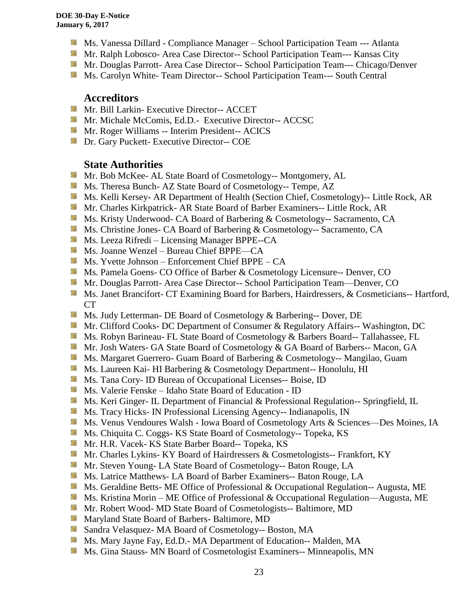- **Ms. Vanessa Dillard Compliance Manager School Participation Team --- Atlanta**
- Mr. Ralph Lobosco- Area Case Director-- School Participation Team--- Kansas City
- **Mr. Douglas Parrott- Area Case Director-- School Participation Team--- Chicago/Denver**
- **Ms. Carolyn White- Team Director-- School Participation Team--- South Central**

#### **Accreditors**

- **Mr. Bill Larkin- Executive Director-- ACCET**
- **Mr. Michale McComis, Ed.D.- Executive Director-- ACCSC**
- **Mr. Roger Williams -- Interim President-- ACICS**
- **Dr.** Gary Puckett- Executive Director-- COE

### **State Authorities**

- Mr. Bob McKee- AL State Board of Cosmetology-- Montgomery, AL
- Ms. Theresa Bunch- AZ State Board of Cosmetology-- Tempe, AZ
- Ms. Kelli Kersey- AR Department of Health (Section Chief, Cosmetology)-- Little Rock, AR
- **Mr. Charles Kirkpatrick- AR State Board of Barber Examiners-- Little Rock, AR**
- **Ms. Kristy Underwood- CA Board of Barbering & Cosmetology-- Sacramento, CA**
- Ms. Christine Jones- CA Board of Barbering & Cosmetology-- Sacramento, CA
- **Ms. Leeza Rifredi Licensing Manager BPPE--CA**
- Ms. Joanne Wenzel Bureau Chief BPPE—CA
- Ms. Yvette Johnson Enforcement Chief BPPE CA
- **Ms. Pamela Goens- CO Office of Barber & Cosmetology Licensure-- Denver, CO**
- Mr. Douglas Parrott- Area Case Director-- School Participation Team—Denver, CO
- Ms. Janet Brancifort- CT Examining Board for Barbers, Hairdressers, & Cosmeticians-- Hartford, CT
- **Ms. Judy Letterman- DE Board of Cosmetology & Barbering-- Dover, DE**
- **Mr.** Clifford Cooks- DC Department of Consumer & Regulatory Affairs-- Washington, DC
- **Ms. Robyn Barineau- FL State Board of Cosmetology & Barbers Board-- Tallahassee, FL**
- **Mr.** Josh Waters- GA State Board of Cosmetology & GA Board of Barbers-- Macon, GA
- **Ms. Margaret Guerrero- Guam Board of Barbering & Cosmetology-- Mangilao, Guam**
- Ms. Laureen Kai- HI Barbering & Cosmetology Department-- Honolulu, HI
- **Ms.** Tana Cory- ID Bureau of Occupational Licenses-- Boise, ID
- Ms. Valerie Fenske Idaho State Board of Education ID
- **Ms. Keri Ginger- IL Department of Financial & Professional Regulation-- Springfield, IL**
- **Ms.** Tracy Hicks- IN Professional Licensing Agency-- Indianapolis, IN
- Ms. Venus Vendoures Walsh Iowa Board of Cosmetology Arts & Sciences—Des Moines, IA
- **Ms.** Chiquita C. Coggs- KS State Board of Cosmetology-- Topeka, KS
- Mr. H.R. Vacek- KS State Barber Board-- Topeka, KS
- **Mr.** Charles Lykins- KY Board of Hairdressers & Cosmetologists-- Frankfort, KY
- Mr. Steven Young- LA State Board of Cosmetology-- Baton Rouge, LA
- **Ms. Latrice Matthews- LA Board of Barber Examiners-- Baton Rouge, LA**
- Ms. Geraldine Betts- ME Office of Professional & Occupational Regulation-- Augusta, ME
- Ms. Kristina Morin ME Office of Professional & Occupational Regulation—Augusta, ME
- Mr. Robert Wood- MD State Board of Cosmetologists-- Baltimore, MD
- **Maryland State Board of Barbers- Baltimore, MD**
- Sandra Velasquez- MA Board of Cosmetology-- Boston, MA
- Ms. Mary Jayne Fay, Ed.D.- MA Department of Education-- Malden, MA
- **MS.** Gina Stauss- MN Board of Cosmetologist Examiners-- Minneapolis, MN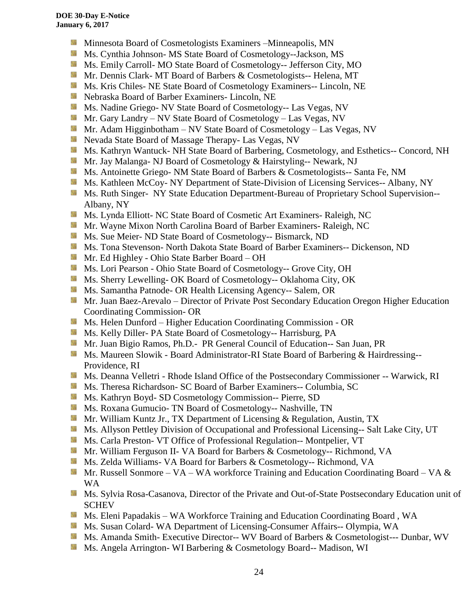- 漆 Minnesota Board of Cosmetologists Examiners –Minneapolis, MN
- Ms. Cynthia Johnson- MS State Board of Cosmetology--Jackson, MS
- Ms. Emily Carroll- MO State Board of Cosmetology-- Jefferson City, MO
- Mr. Dennis Clark- MT Board of Barbers & Cosmetologists-- Helena, MT
- **MS.** Kris Chiles- NE State Board of Cosmetology Examiners-- Lincoln, NE
- Nebraska Board of Barber Examiners- Lincoln, NE
- **Ms. Nadine Griego- NV State Board of Cosmetology-- Las Vegas, NV**
- Mr. Gary Landry NV State Board of Cosmetology Las Vegas, NV
- **Mr.** Adam Higginbotham NV State Board of Cosmetology Las Vegas, NV
- **Nevada State Board of Massage Therapy- Las Vegas, NV**
- Ms. Kathryn Wantuck- NH State Board of Barbering, Cosmetology, and Esthetics-- Concord, NH
- Mr. Jay Malanga- NJ Board of Cosmetology & Hairstyling-- Newark, NJ
- Ms. Antoinette Griego- NM State Board of Barbers & Cosmetologists-- Santa Fe, NM
- Ms. Kathleen McCoy- NY Department of State-Division of Licensing Services-- Albany, NY
- **Ms. Ruth Singer- NY State Education Department-Bureau of Proprietary School Supervision--**Albany, NY
- Ms. Lynda Elliott- NC State Board of Cosmetic Art Examiners- Raleigh, NC
- **Mr. Wayne Mixon North Carolina Board of Barber Examiners- Raleigh, NC**
- **Ms.** Sue Meier- ND State Board of Cosmetology-- Bismarck, ND
- Ms. Tona Stevenson- North Dakota State Board of Barber Examiners-- Dickenson, ND
- Mr. Ed Highley Ohio State Barber Board OH
- **Ms.** Lori Pearson Ohio State Board of Cosmetology-- Grove City, OH
- Ms. Sherry Lewelling- OK Board of Cosmetology-- Oklahoma City, OK
- **Ms. Samantha Patnode- OR Health Licensing Agency-- Salem, OR**
- Mr. Juan Baez-Arevalo Director of Private Post Secondary Education Oregon Higher Education Coordinating Commission- OR
- **MS.** Helen Dunford Higher Education Coordinating Commission OR
- **Ms. Kelly Diller-PA State Board of Cosmetology-- Harrisburg, PA**
- Mr. Juan Bigio Ramos, Ph.D.- PR General Council of Education-- San Juan, PR
- Ms. Maureen Slowik Board Administrator-RI State Board of Barbering & Hairdressing--Providence, RI
- Ms. Deanna Velletri Rhode Island Office of the Postsecondary Commissioner -- Warwick, RI
- **Ms.** Theresa Richardson- SC Board of Barber Examiners-- Columbia, SC
- **Ms. Kathryn Boyd- SD Cosmetology Commission-- Pierre, SD**
- **Ms. Roxana Gumucio- TN Board of Cosmetology-- Nashville, TN**
- Mr. William Kuntz Jr., TX Department of Licensing & Regulation, Austin, TX
- **Ms.** Allyson Pettley Division of Occupational and Professional Licensing-- Salt Lake City, UT
- **Ms. Carla Preston- VT Office of Professional Regulation-- Montpelier, VT**
- Mr. William Ferguson II- VA Board for Barbers & Cosmetology-- Richmond, VA
- Ms. Zelda Williams- VA Board for Barbers & Cosmetology-- Richmond, VA
- **Mr. Russell Sonmore VA WA workforce Training and Education Coordinating Board VA &** WA
- **Ms.** Sylvia Rosa-Casanova, Director of the Private and Out-of-State Postsecondary Education unit of **SCHEV**
- Ms. Eleni Papadakis WA Workforce Training and Education Coordinating Board, WA
- Ms. Susan Colard- WA Department of Licensing-Consumer Affairs-- Olympia, WA
- Ms. Amanda Smith- Executive Director-- WV Board of Barbers & Cosmetologist--- Dunbar, WV
- **Ms.** Angela Arrington- WI Barbering & Cosmetology Board-- Madison, WI